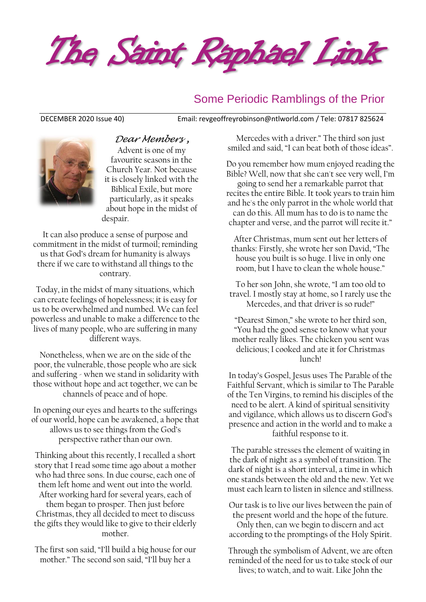

#### Some Periodic Ramblings of the Prior



*Dear Members ,* Advent is one of my favourite seasons in the Church Year. Not because it is closely linked with the Biblical Exile, but more particularly, as it speaks about hope in the midst of despair.

It can also produce a sense of purpose and commitment in the midst of turmoil; reminding us that God's dream for humanity is always there if we care to withstand all things to the contrary.

Today, in the midst of many situations, which can create feelings of hopelessness; it is easy for us to be overwhelmed and numbed. We can feel powerless and unable to make a difference to the lives of many people, who are suffering in many different ways.

Nonetheless, when we are on the side of the poor, the vulnerable, those people who are sick and suffering - when we stand in solidarity with those without hope and act together, we can be channels of peace and of hope.

In opening our eyes and hearts to the sufferings of our world, hope can be awakened, a hope that allows us to see things from the God's perspective rather than our own.

Thinking about this recently, I recalled a short story that I read some time ago about a mother who had three sons. In due course, each one of them left home and went out into the world. After working hard for several years, each of them began to prosper. Then just before Christmas, they all decided to meet to discuss the gifts they would like to give to their elderly mother.

The first son said, "I'll build a big house for our mother." The second son said, "I'll buy her a

DECEMBER 2020 Issue 40) Email: [revgeoffreyrobinson@ntlworld.com](mailto:revgeoffreyrobinson@ntlworld.com) / Tele: 07817 825624

Mercedes with a driver." The third son just smiled and said, "I can beat both of those ideas".

Do you remember how mum enjoyed reading the Bible? Well, now that she can't see very well, I'm going to send her a remarkable parrot that recites the entire Bible. It took years to train him and he's the only parrot in the whole world that can do this. All mum has to do is to name the chapter and verse, and the parrot will recite it."

After Christmas, mum sent out her letters of thanks: Firstly, she wrote her son David, "The house you built is so huge. I live in only one room, but I have to clean the whole house."

To her son John, she wrote, "I am too old to travel. I mostly stay at home, so I rarely use the Mercedes, and that driver is so rude!"

"Dearest Simon," she wrote to her third son, "You had the good sense to know what your mother really likes. The chicken you sent was delicious; I cooked and ate it for Christmas lunch!

In today's Gospel, Jesus uses The Parable of the Faithful Servant, which is similar to The Parable of the Ten Virgins, to remind his disciples of the need to be alert. A kind of spiritual sensitivity and vigilance, which allows us to discern God's presence and action in the world and to make a faithful response to it.

The parable stresses the element of waiting in the dark of night as a symbol of transition. The dark of night is a short interval, a time in which one stands between the old and the new. Yet we must each learn to listen in silence and stillness.

Our task is to live our lives between the pain of the present world and the hope of the future. Only then, can we begin to discern and act according to the promptings of the Holy Spirit.

Through the symbolism of Advent, we are often reminded of the need for us to take stock of our lives; to watch, and to wait. Like John the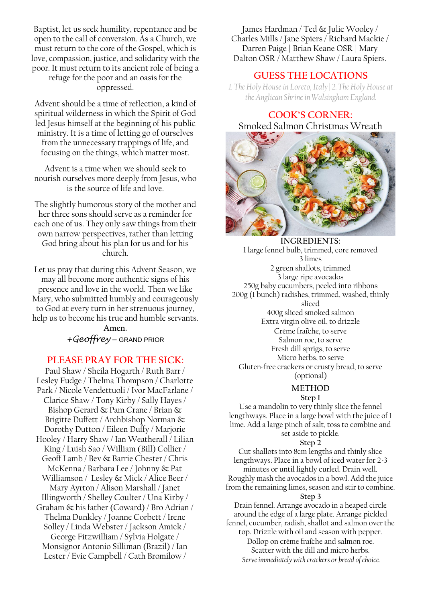Baptist, let us seek humility, repentance and be open to the call of conversion. As a Church, we must return to the core of the Gospel, which is love, compassion, justice, and solidarity with the poor. It must return to its ancient role of being a refuge for the poor and an oasis for the oppressed.

Advent should be a time of reflection, a kind of spiritual wilderness in which the Spirit of God led Jesus himself at the beginning of his public ministry. It is a time of letting go of ourselves from the unnecessary trappings of life, and focusing on the things, which matter most.

Advent is a time when we should seek to nourish ourselves more deeply from Jesus, who is the source of life and love.

The slightly humorous story of the mother and her three sons should serve as a reminder for each one of us. They only saw things from their own narrow perspectives, rather than letting God bring about his plan for us and for his church.

Let us pray that during this Advent Season, we may all become more authentic signs of his presence and love in the world. Then we like Mary, who submitted humbly and courageously to God at every turn in her strenuous journey, help us to become his true and humble servants.

**Amen.**  *+Geoffrey* – GRAND PRIOR

#### **PLEASE PRAY FOR THE SICK:**

Paul Shaw / Sheila Hogarth / Ruth Barr / Lesley Fudge / Thelma Thompson / Charlotte Park / Nicole Vendettuoli / Ivor MacFarlane / Clarice Shaw / Tony Kirby / Sally Hayes / Bishop Gerard & Pam Crane / Brian & Brigitte Duffett / Archbishop Norman & Dorothy Dutton / Eileen Duffy / Marjorie Hooley / Harry Shaw / Ian Weatherall / Lilian King / Luish Sao / William (Bill) Collier / Geoff Lamb / Bev & Barrie Chester / Chris McKenna / Barbara Lee / Johnny & Pat Williamson / Lesley & Mick / Alice Beer / Mary Ayrton / Alison Marshall / Janet Illingworth / Shelley Coulter / Una Kirby / Graham & his father (Coward) / Bro Adrian / Thelma Dunkley / Joanne Corbett / Irene Solley / Linda Webster / Jackson Amick / George Fitzwilliam / Sylvia Holgate / Monsignor Antonio Silliman (Brazil) / Ian Lester / Evie Campbell / Cath Bromilow /

James Hardman / Ted & Julie Wooley / Charles Mills / Jane Spiers / Richard Mackie / Darren Paige | Brian Keane OSR | Mary Dalton OSR / Matthew Shaw / Laura Spiers.

#### **GUESS THE LOCATIONS**

*1. The Holy House in Loreto, Italy| 2. The Holy House at the Anglican Shrine in Walsingham England.*

**COOK'S CORNER:** 

# Smoked Salmon Christmas Wreath

**INGREDIENTS:** 1 large fennel bulb, trimmed, core removed 3 limes 2 green shallots, trimmed 3 large ripe avocados 250g baby cucumbers, peeled into ribbons 200g (1 bunch) radishes, trimmed, washed, thinly sliced 400g sliced smoked [salmon](https://www.taste.com.au/recipes/collections/salmon-recipes) Extra virgin olive oil, to drizzle Crème fraîche, to serve Salmon roe, to serve Fresh dill sprigs, to serve Micro herbs, to serve Gluten-free crackers or crusty bread, to serve (optional)

#### **METHOD**

**Step 1**

Use a mandolin to very thinly slice the fennel lengthways. Place in a large bowl with the juice of 1 lime. Add a large pinch of salt, toss to combine and set aside to pickle.

**Step 2**

Cut shallots into 8cm lengths and thinly slice lengthways. Place in a bowl of iced water for 2-3 minutes or until lightly curled. Drain well. Roughly mash the avocados in a bowl. Add the juice from the remaining limes, season and stir to combine.

#### **Step 3**

Drain fennel. Arrange avocado in a heaped circle around the edge of a large plate. Arrange pickled fennel, cucumber, radish, shallot and salmon over the top. Drizzle with oil and season with pepper.

Dollop on crème fraîche and salmon roe. Scatter with the dill and micro herbs. *Serve immediately with crackers or bread of choice.*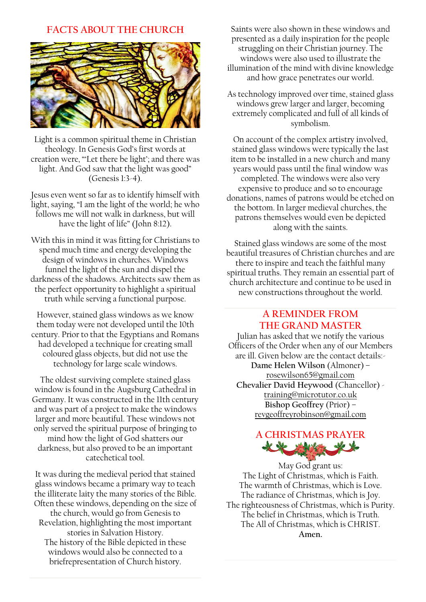#### **FACTS ABOUT THE CHURCH**



Light is a common spiritual theme in Christian theology. In Genesis God's first words at creation were, "'Let there be light'; and there was light. And God saw that the light was good" (Genesis 1:3-4).

Jesus even went so far as to identify himself with light, saying, "I am the light of the world; he who follows me will not walk in darkness, but will have the light of life" (John 8:12).

With this in mind it was fitting for Christians to spend much time and energy developing the design of windows in churches. Windows funnel the light of the sun and dispel the darkness of the shadows. Architects saw them as the perfect opportunity to highlight a spiritual truth while serving a functional purpose.

However, stained glass windows as we know them today were not developed until the 10th century. Prior to that the Egyptians and Romans had developed a technique for creating small coloured glass objects, but did not use the technology for large scale windows.

The oldest surviving complete stained glass window is found in the Augsburg Cathedral in Germany. It was constructed in the 11th century and was part of a project to make the windows larger and more beautiful. These windows not only served the spiritual purpose of bringing to mind how the light of God shatters our darkness, but also proved to be an important catechetical tool.

It was during the medieval period that stained glass windows became a primary way to teach the illiterate laity the many stories of the Bible. Often these windows, depending on the size of the church, would go from Genesis to Revelation, highlighting the most important stories in Salvation History. The history of the Bible depicted in these windows would also be connected to a briefrepresentation of Church history.

Saints were also shown in these windows and presented as a daily inspiration for the people struggling on their Christian journey. The windows were also used to illustrate the illumination of the mind with divine knowledge and how grace penetrates our world.

As technology improved over time, stained glass windows grew larger and larger, becoming extremely complicated and full of all kinds of symbolism.

On account of the complex artistry involved, stained glass windows were typically the last item to be installed in a new church and many years would pass until the final window was completed. The windows were also very expensive to produce and so to encourage donations, names of patrons would be etched on the bottom. In larger medieval churches, the patrons themselves would even be depicted along with the saints.

Stained glass windows are some of the most beautiful treasures of Christian churches and are there to inspire and teach the faithful many spiritual truths. They remain an essential part of church architecture and continue to be used in new constructions throughout the world.

#### **A REMINDER FROM THE GRAND MASTER**

Julian has asked that we notify the various Officers of the Order when any of our Members are ill. Given below are the contact details:- **Dame Helen Wilson** (Almoner) – [rosewilson65@gmail.com](mailto:rosewilson65@gmail.com) **Chevalier David Heywood** (Chancellor) [training@microtutor.co.uk](mailto:training@microtutor.co.uk) **Bishop Geoffrey** (Prior) – [revgeoffreyrobinson@gmail.com](mailto:revgeoffreyrobinson@gmail.com)

## **A CHRISTMAS PRAYER**

May God grant us: The Light of Christmas, which is Faith. The warmth of Christmas, which is Love. The radiance of Christmas, which is Joy. The righteousness of Christmas, which is Purity. The belief in Christmas, which is Truth. The All of Christmas, which is CHRIST. **Amen.**